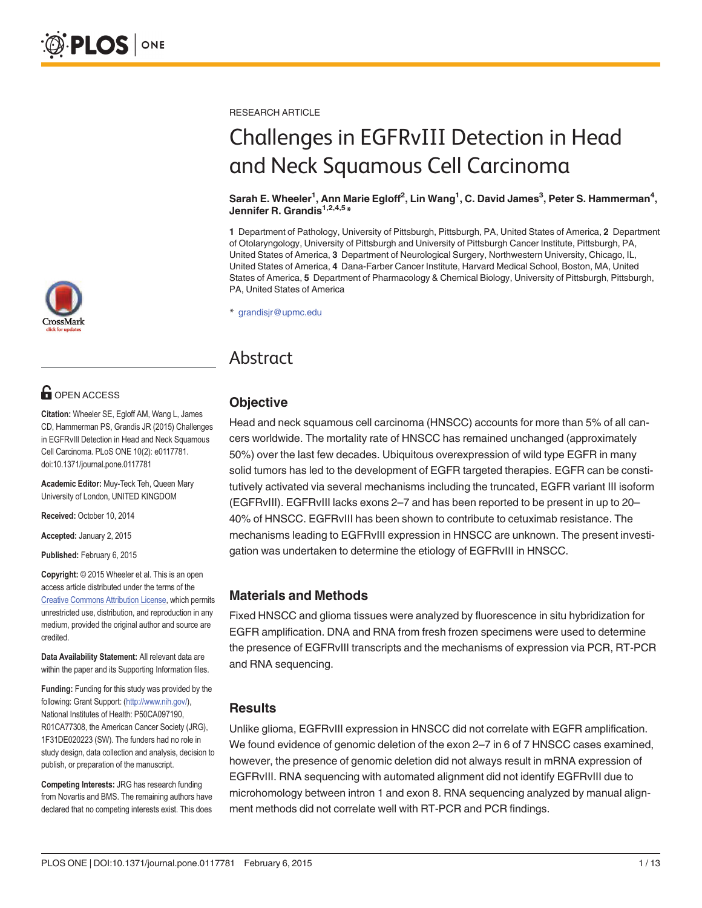

# **OPEN ACCESS**

Citation: Wheeler SE, Egloff AM, Wang L, James CD, Hammerman PS, Grandis JR (2015) Challenges in EGFRvIII Detection in Head and Neck Squamous Cell Carcinoma. PLoS ONE 10(2): e0117781. doi:10.1371/journal.pone.0117781

Academic Editor: Muy-Teck Teh, Queen Mary University of London, UNITED KINGDOM

Received: October 10, 2014

Accepted: January 2, 2015

Published: February 6, 2015

Copyright: © 2015 Wheeler et al. This is an open access article distributed under the terms of the [Creative Commons Attribution License,](http://creativecommons.org/licenses/by/4.0/) which permits unrestricted use, distribution, and reproduction in any medium, provided the original author and source are credited.

Data Availability Statement: All relevant data are within the paper and its Supporting Information files.

Funding: Funding for this study was provided by the following: Grant Support: (<http://www.nih.gov/>), National Institutes of Health: P50CA097190, R01CA77308, the American Cancer Society (JRG), 1F31DE020223 (SW). The funders had no role in study design, data collection and analysis, decision to publish, or preparation of the manuscript.

Competing Interests: JRG has research funding from Novartis and BMS. The remaining authors have declared that no competing interests exist. This does RESEARCH ARTICLE

# Challenges in EGFRvIII Detection in Head and Neck Squamous Cell Carcinoma

#### Sarah E. Wheeler<sup>1</sup>, Ann Marie Egloff<sup>2</sup>, Lin Wang<sup>1</sup>, C. David James<sup>3</sup>, Peter S. Hammerman<sup>4</sup>, Jennifer R. Grandis<sup>1,2,4,5</sup>\*

1 Department of Pathology, University of Pittsburgh, Pittsburgh, PA, United States of America, 2 Department of Otolaryngology, University of Pittsburgh and University of Pittsburgh Cancer Institute, Pittsburgh, PA, United States of America, 3 Department of Neurological Surgery, Northwestern University, Chicago, IL, United States of America, 4 Dana-Farber Cancer Institute, Harvard Medical School, Boston, MA, United States of America, 5 Department of Pharmacology & Chemical Biology, University of Pittsburgh, Pittsburgh, PA, United States of America

\* grandisjr@upmc.edu

## Abstract

### **Objective**

Head and neck squamous cell carcinoma (HNSCC) accounts for more than 5% of all cancers worldwide. The mortality rate of HNSCC has remained unchanged (approximately 50%) over the last few decades. Ubiquitous overexpression of wild type EGFR in many solid tumors has led to the development of EGFR targeted therapies. EGFR can be constitutively activated via several mechanisms including the truncated, EGFR variant III isoform (EGFRvIII). EGFRvIII lacks exons 2–7 and has been reported to be present in up to 20– 40% of HNSCC. EGFRvIII has been shown to contribute to cetuximab resistance. The mechanisms leading to EGFRvIII expression in HNSCC are unknown. The present investigation was undertaken to determine the etiology of EGFRvIII in HNSCC.

### Materials and Methods

Fixed HNSCC and glioma tissues were analyzed by fluorescence in situ hybridization for EGFR amplification. DNA and RNA from fresh frozen specimens were used to determine the presence of EGFRvIII transcripts and the mechanisms of expression via PCR, RT-PCR and RNA sequencing.

### **Results**

Unlike glioma, EGFRvIII expression in HNSCC did not correlate with EGFR amplification. We found evidence of genomic deletion of the exon 2–7 in 6 of 7 HNSCC cases examined, however, the presence of genomic deletion did not always result in mRNA expression of EGFRvIII. RNA sequencing with automated alignment did not identify EGFRvIII due to microhomology between intron 1 and exon 8. RNA sequencing analyzed by manual alignment methods did not correlate well with RT-PCR and PCR findings.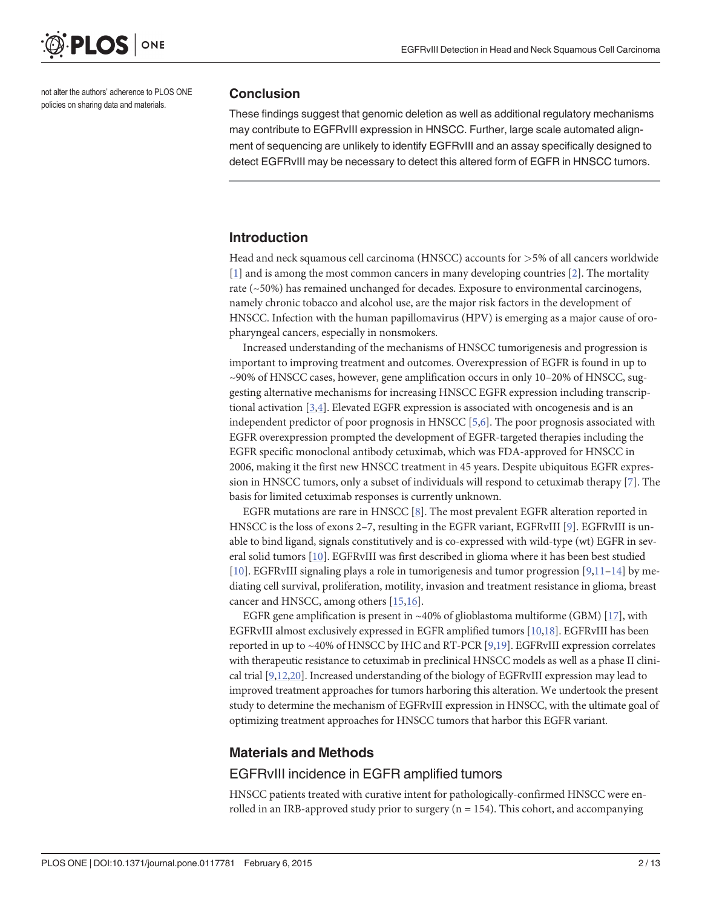<span id="page-1-0"></span>

not alter the authors' adherence to PLOS ONE policies on sharing data and materials.

#### **Conclusion**

These findings suggest that genomic deletion as well as additional regulatory mechanisms may contribute to EGFRvIII expression in HNSCC. Further, large scale automated alignment of sequencing are unlikely to identify EGFRvIII and an assay specifically designed to detect EGFRvIII may be necessary to detect this altered form of EGFR in HNSCC tumors.

#### Introduction

Head and neck squamous cell carcinoma (HNSCC) accounts for >5% of all cancers worldwide [\[1](#page-10-0)] and is among the most common cancers in many developing countries [\[2\]](#page-10-0). The mortality rate (~50%) has remained unchanged for decades. Exposure to environmental carcinogens, namely chronic tobacco and alcohol use, are the major risk factors in the development of HNSCC. Infection with the human papillomavirus (HPV) is emerging as a major cause of oropharyngeal cancers, especially in nonsmokers.

Increased understanding of the mechanisms of HNSCC tumorigenesis and progression is important to improving treatment and outcomes. Overexpression of EGFR is found in up to ~90% of HNSCC cases, however, gene amplification occurs in only 10–20% of HNSCC, suggesting alternative mechanisms for increasing HNSCC EGFR expression including transcriptional activation  $[3,4]$ . Elevated EGFR expression is associated with oncogenesis and is an independent predictor of poor prognosis in HNSCC  $[5,6]$ . The poor prognosis associated with EGFR overexpression prompted the development of EGFR-targeted therapies including the EGFR specific monoclonal antibody cetuximab, which was FDA-approved for HNSCC in 2006, making it the first new HNSCC treatment in 45 years. Despite ubiquitous EGFR expression in HNSCC tumors, only a subset of individuals will respond to cetuximab therapy [[7](#page-11-0)]. The basis for limited cetuximab responses is currently unknown.

EGFR mutations are rare in HNSCC  $[8]$ . The most prevalent EGFR alteration reported in HNSCC is the loss of exons 2–7, resulting in the EGFR variant, EGFRvIII [[9](#page-11-0)]. EGFRvIII is unable to bind ligand, signals constitutively and is co-expressed with wild-type (wt) EGFR in several solid tumors [\[10\]](#page-11-0). EGFRvIII was first described in glioma where it has been best studied [\[10](#page-11-0)]. EGFRvIII signaling plays a role in tumorigenesis and tumor progression  $[9,11-14]$  $[9,11-14]$  $[9,11-14]$  by mediating cell survival, proliferation, motility, invasion and treatment resistance in glioma, breast cancer and HNSCC, among others [[15](#page-11-0),[16](#page-11-0)].

EGFR gene amplification is present in ~40% of glioblastoma multiforme (GBM)  $[17]$ , with EGFRvIII almost exclusively expressed in EGFR amplified tumors [\[10](#page-11-0),[18](#page-11-0)]. EGFRvIII has been reported in up to ~40% of HNSCC by IHC and RT-PCR  $[9,19]$  $[9,19]$  $[9,19]$  $[9,19]$  $[9,19]$ . EGFRvIII expression correlates with therapeutic resistance to cetuximab in preclinical HNSCC models as well as a phase II clinical trial [[9,12,20](#page-11-0)]. Increased understanding of the biology of EGFRvIII expression may lead to improved treatment approaches for tumors harboring this alteration. We undertook the present study to determine the mechanism of EGFRvIII expression in HNSCC, with the ultimate goal of optimizing treatment approaches for HNSCC tumors that harbor this EGFR variant.

#### Materials and Methods

#### EGFRvIII incidence in EGFR amplified tumors

HNSCC patients treated with curative intent for pathologically-confirmed HNSCC were enrolled in an IRB-approved study prior to surgery ( $n = 154$ ). This cohort, and accompanying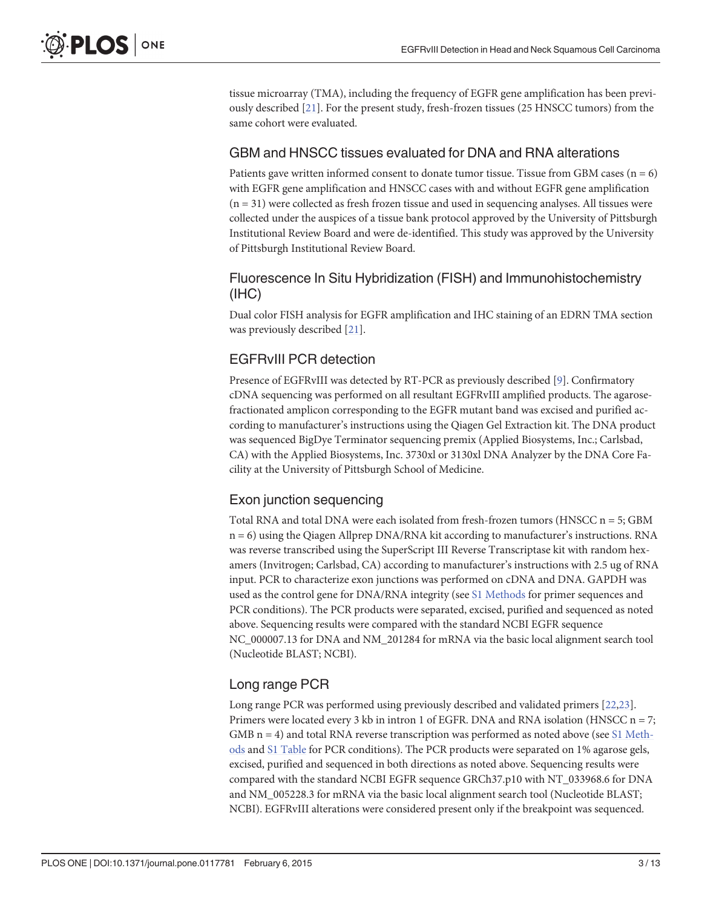<span id="page-2-0"></span>tissue microarray (TMA), including the frequency of EGFR gene amplification has been previously described [[21](#page-11-0)]. For the present study, fresh-frozen tissues (25 HNSCC tumors) from the same cohort were evaluated.

### GBM and HNSCC tissues evaluated for DNA and RNA alterations

Patients gave written informed consent to donate tumor tissue. Tissue from GBM cases ( $n = 6$ ) with EGFR gene amplification and HNSCC cases with and without EGFR gene amplification  $(n = 31)$  were collected as fresh frozen tissue and used in sequencing analyses. All tissues were collected under the auspices of a tissue bank protocol approved by the University of Pittsburgh Institutional Review Board and were de-identified. This study was approved by the University of Pittsburgh Institutional Review Board.

### Fluorescence In Situ Hybridization (FISH) and Immunohistochemistry (IHC)

Dual color FISH analysis for EGFR amplification and IHC staining of an EDRN TMA section was previously described [[21](#page-11-0)].

### EGFRvIII PCR detection

Presence of EGFRvIII was detected by RT-PCR as previously described [[9\]](#page-11-0). Confirmatory cDNA sequencing was performed on all resultant EGFRvIII amplified products. The agarosefractionated amplicon corresponding to the EGFR mutant band was excised and purified according to manufacturer's instructions using the Qiagen Gel Extraction kit. The DNA product was sequenced BigDye Terminator sequencing premix (Applied Biosystems, Inc.; Carlsbad, CA) with the Applied Biosystems, Inc. 3730xl or 3130xl DNA Analyzer by the DNA Core Facility at the University of Pittsburgh School of Medicine.

### Exon junction sequencing

Total RNA and total DNA were each isolated from fresh-frozen tumors (HNSCC n = 5; GBM n = 6) using the Qiagen Allprep DNA/RNA kit according to manufacturer's instructions. RNA was reverse transcribed using the SuperScript III Reverse Transcriptase kit with random hexamers (Invitrogen; Carlsbad, CA) according to manufacturer's instructions with 2.5 ug of RNA input. PCR to characterize exon junctions was performed on cDNA and DNA. GAPDH was used as the control gene for DNA/RNA integrity (see [S1 Methods](#page-10-0) for primer sequences and PCR conditions). The PCR products were separated, excised, purified and sequenced as noted above. Sequencing results were compared with the standard NCBI EGFR sequence NC\_000007.13 for DNA and NM\_201284 for mRNA via the basic local alignment search tool (Nucleotide BLAST; NCBI).

### Long range PCR

Long range PCR was performed using previously described and validated primers [\[22,23\]](#page-11-0). Primers were located every 3 kb in intron 1 of EGFR. DNA and RNA isolation (HNSCC n = 7; GMB  $n = 4$ ) and total RNA reverse transcription was performed as noted above (see [S1 Meth](#page-10-0)[ods](#page-10-0) and [S1 Table](#page-10-0) for PCR conditions). The PCR products were separated on 1% agarose gels, excised, purified and sequenced in both directions as noted above. Sequencing results were compared with the standard NCBI EGFR sequence GRCh37.p10 with NT\_033968.6 for DNA and NM\_005228.3 for mRNA via the basic local alignment search tool (Nucleotide BLAST; NCBI). EGFRvIII alterations were considered present only if the breakpoint was sequenced.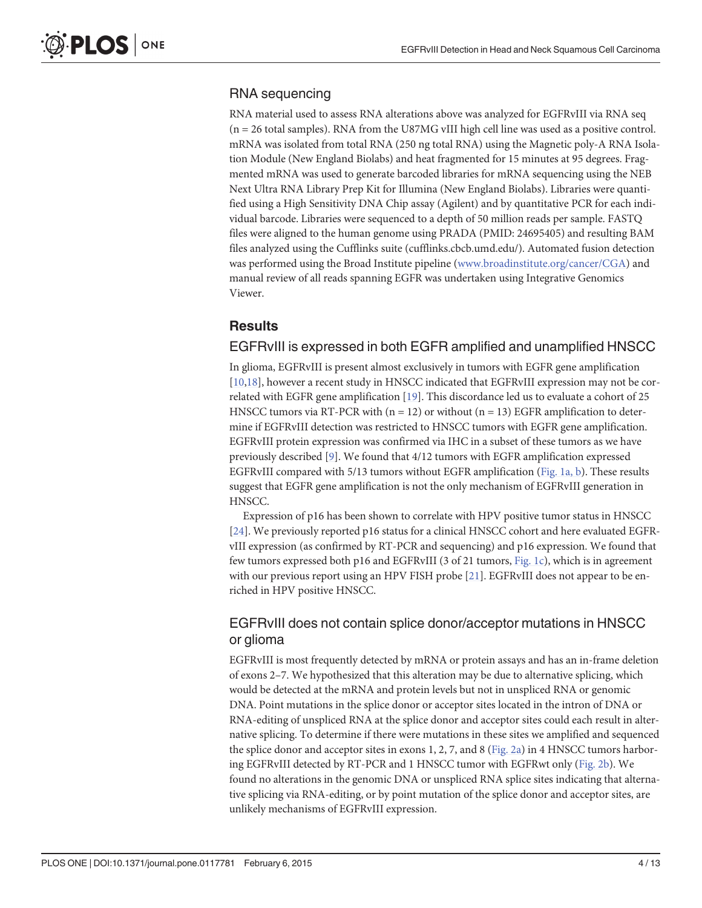### <span id="page-3-0"></span>RNA sequencing

RNA material used to assess RNA alterations above was analyzed for EGFRvIII via RNA seq (n = 26 total samples). RNA from the U87MG vIII high cell line was used as a positive control. mRNA was isolated from total RNA (250 ng total RNA) using the Magnetic poly-A RNA Isolation Module (New England Biolabs) and heat fragmented for 15 minutes at 95 degrees. Fragmented mRNA was used to generate barcoded libraries for mRNA sequencing using the NEB Next Ultra RNA Library Prep Kit for Illumina (New England Biolabs). Libraries were quantified using a High Sensitivity DNA Chip assay (Agilent) and by quantitative PCR for each individual barcode. Libraries were sequenced to a depth of 50 million reads per sample. FASTQ files were aligned to the human genome using PRADA (PMID: 24695405) and resulting BAM files analyzed using the Cufflinks suite (cufflinks.cbcb.umd.edu/). Automated fusion detection was performed using the Broad Institute pipeline [\(www.broadinstitute.org/cancer/CGA](http://www.broadinstitute.org/cancer/CGA)) and manual review of all reads spanning EGFR was undertaken using Integrative Genomics Viewer.

### Results

### EGFRvIII is expressed in both EGFR amplified and unamplified HNSCC

In glioma, EGFRvIII is present almost exclusively in tumors with EGFR gene amplification [\[10,18\]](#page-11-0), however a recent study in HNSCC indicated that EGFRvIII expression may not be correlated with EGFR gene amplification [[19](#page-11-0)]. This discordance led us to evaluate a cohort of 25 HNSCC tumors via RT-PCR with ( $n = 12$ ) or without ( $n = 13$ ) EGFR amplification to determine if EGFRvIII detection was restricted to HNSCC tumors with EGFR gene amplification. EGFRvIII protein expression was confirmed via IHC in a subset of these tumors as we have previously described  $[9]$  $[9]$ . We found that  $4/12$  tumors with EGFR amplification expressed EGFRvIII compared with 5/13 tumors without EGFR amplification ([Fig. 1a, b](#page-4-0)). These results suggest that EGFR gene amplification is not the only mechanism of EGFRvIII generation in HNSCC.

Expression of p16 has been shown to correlate with HPV positive tumor status in HNSCC [\[24](#page-11-0)]. We previously reported p16 status for a clinical HNSCC cohort and here evaluated EGFRvIII expression (as confirmed by RT-PCR and sequencing) and p16 expression. We found that few tumors expressed both p16 and EGFRvIII (3 of 21 tumors, [Fig. 1c\)](#page-4-0), which is in agreement with our previous report using an HPV FISH probe  $[21]$ . EGFRvIII does not appear to be enriched in HPV positive HNSCC.

### EGFRvIII does not contain splice donor/acceptor mutations in HNSCC or glioma

EGFRvIII is most frequently detected by mRNA or protein assays and has an in-frame deletion of exons 2–7. We hypothesized that this alteration may be due to alternative splicing, which would be detected at the mRNA and protein levels but not in unspliced RNA or genomic DNA. Point mutations in the splice donor or acceptor sites located in the intron of DNA or RNA-editing of unspliced RNA at the splice donor and acceptor sites could each result in alternative splicing. To determine if there were mutations in these sites we amplified and sequenced the splice donor and acceptor sites in exons 1, 2, 7, and 8 ( $Fig. 2a$ ) in 4 HNSCC tumors harboring EGFRvIII detected by RT-PCR and 1 HNSCC tumor with EGFRwt only ([Fig. 2b](#page-5-0)). We found no alterations in the genomic DNA or unspliced RNA splice sites indicating that alternative splicing via RNA-editing, or by point mutation of the splice donor and acceptor sites, are unlikely mechanisms of EGFRvIII expression.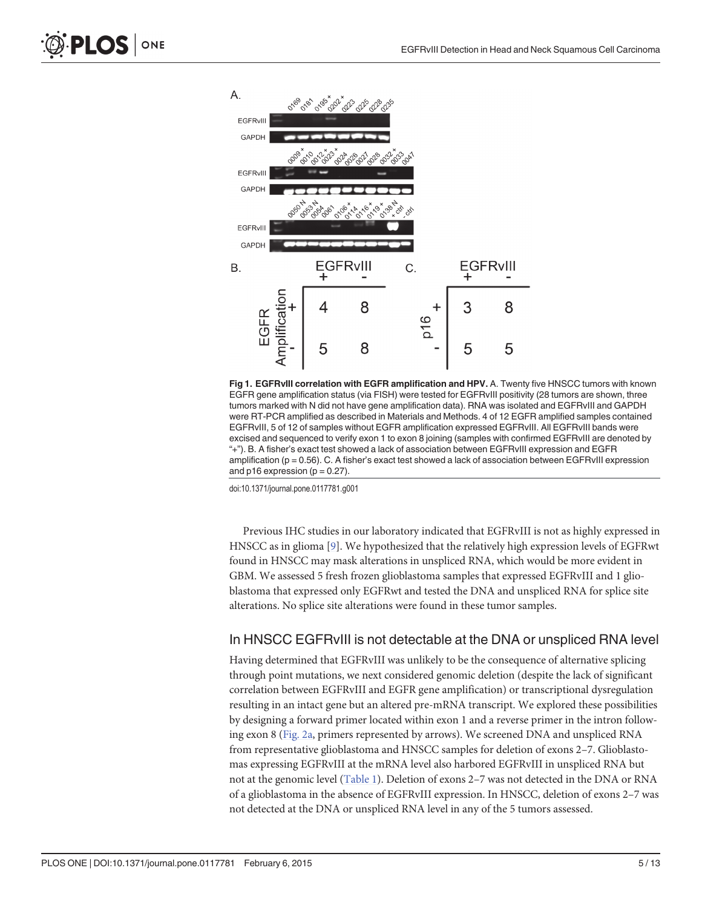<span id="page-4-0"></span>

[Fig 1. E](#page-3-0)GFRvIII correlation with EGFR amplification and HPV. A. Twenty five HNSCC tumors with known EGFR gene amplification status (via FISH) were tested for EGFRvIII positivity (28 tumors are shown, three tumors marked with N did not have gene amplification data). RNA was isolated and EGFRvIII and GAPDH were RT-PCR amplified as described in Materials and Methods. 4 of 12 EGFR amplified samples contained EGFRvIII, 5 of 12 of samples without EGFR amplification expressed EGFRvIII. All EGFRvIII bands were excised and sequenced to verify exon 1 to exon 8 joining (samples with confirmed EGFRvIII are denoted by "+"). B. A fisher's exact test showed a lack of association between EGFRvIII expression and EGFR amplification ( $p = 0.56$ ). C. A fisher's exact test showed a lack of association between EGFRvIII expression and  $p16$  expression ( $p = 0.27$ ).

doi:10.1371/journal.pone.0117781.g001

Previous IHC studies in our laboratory indicated that EGFRvIII is not as highly expressed in HNSCC as in glioma [\[9](#page-11-0)]. We hypothesized that the relatively high expression levels of EGFRwt found in HNSCC may mask alterations in unspliced RNA, which would be more evident in GBM. We assessed 5 fresh frozen glioblastoma samples that expressed EGFRvIII and 1 glioblastoma that expressed only EGFRwt and tested the DNA and unspliced RNA for splice site alterations. No splice site alterations were found in these tumor samples.

#### In HNSCC EGFRvIII is not detectable at the DNA or unspliced RNA level

Having determined that EGFRvIII was unlikely to be the consequence of alternative splicing through point mutations, we next considered genomic deletion (despite the lack of significant correlation between EGFRvIII and EGFR gene amplification) or transcriptional dysregulation resulting in an intact gene but an altered pre-mRNA transcript. We explored these possibilities by designing a forward primer located within exon 1 and a reverse primer in the intron following exon 8 ([Fig. 2a,](#page-5-0) primers represented by arrows). We screened DNA and unspliced RNA from representative glioblastoma and HNSCC samples for deletion of exons 2–7. Glioblastomas expressing EGFRvIII at the mRNA level also harbored EGFRvIII in unspliced RNA but not at the genomic level ([Table 1](#page-5-0)). Deletion of exons 2–7 was not detected in the DNA or RNA of a glioblastoma in the absence of EGFRvIII expression. In HNSCC, deletion of exons 2–7 was not detected at the DNA or unspliced RNA level in any of the 5 tumors assessed.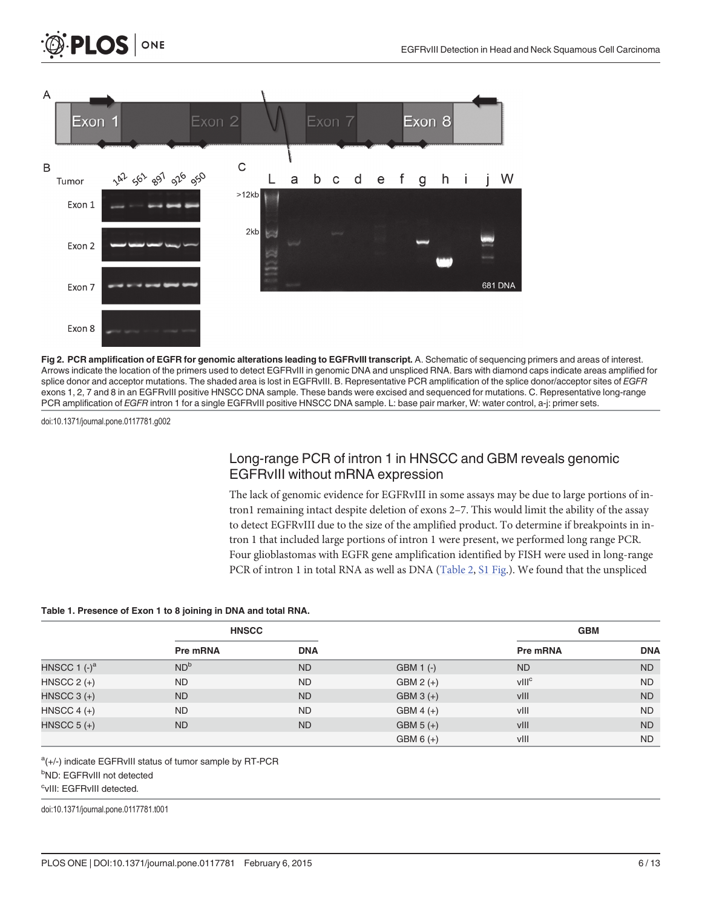<span id="page-5-0"></span>

[Fig 2. P](#page-3-0)CR amplification of EGFR for genomic alterations leading to EGFRvIII transcript. A. Schematic of sequencing primers and areas of interest. Arrows indicate the location of the primers used to detect EGFRvIII in genomic DNA and unspliced RNA. Bars with diamond caps indicate areas amplified for splice donor and acceptor mutations. The shaded area is lost in EGFRvIII. B. Representative PCR amplification of the splice donor/acceptor sites of EGFR exons 1, 2, 7 and 8 in an EGFRvIII positive HNSCC DNA sample. These bands were excised and sequenced for mutations. C. Representative long-range PCR amplification of EGFR intron 1 for a single EGFRvIII positive HNSCC DNA sample. L: base pair marker, W: water control, a-j: primer sets.

doi:10.1371/journal.pone.0117781.g002

LOS I

ONE

### Long-range PCR of intron 1 in HNSCC and GBM reveals genomic EGFRvIII without mRNA expression

The lack of genomic evidence for EGFRvIII in some assays may be due to large portions of intron1 remaining intact despite deletion of exons 2–7. This would limit the ability of the assay to detect EGFRvIII due to the size of the amplified product. To determine if breakpoints in intron 1 that included large portions of intron 1 were present, we performed long range PCR. Four glioblastomas with EGFR gene amplification identified by FISH were used in long-range PCR of intron 1 in total RNA as well as DNA ([Table 2](#page-6-0), [S1 Fig.](#page-10-0)). We found that the unspliced

#### [Table 1.](#page-4-0) Presence of Exon 1 to 8 joining in DNA and total RNA.

|                 | <b>HNSCC</b>    |            |             | <b>GBM</b>        |            |
|-----------------|-----------------|------------|-------------|-------------------|------------|
|                 | <b>Pre mRNA</b> | <b>DNA</b> |             | Pre mRNA          | <b>DNA</b> |
| HNSCC 1 $(-)^a$ | ND <sup>b</sup> | <b>ND</b>  | GBM 1 (-)   | <b>ND</b>         | <b>ND</b>  |
| HNSCC $2 (+)$   | <b>ND</b>       | <b>ND</b>  | $GBM2 (+)$  | VIII <sup>c</sup> | <b>ND</b>  |
| HNSCC $3 (+)$   | <b>ND</b>       | <b>ND</b>  | $GBM3 (+)$  | vIII              | <b>ND</b>  |
| HNSCC $4 (+)$   | <b>ND</b>       | <b>ND</b>  | $GBM 4 (+)$ | vIII              | <b>ND</b>  |
| HNSCC $5 (+)$   | <b>ND</b>       | <b>ND</b>  | $GBM 5 (+)$ | vIII              | <b>ND</b>  |
|                 |                 |            | $GBM 6 (+)$ | vIII              | <b>ND</b>  |

a(+/-) indicate EGFRvIII status of tumor sample by RT-PCR

<sup>b</sup>ND: EGFRvIII not detected

cvIII: EGFRvIII detected.

doi:10.1371/journal.pone.0117781.t001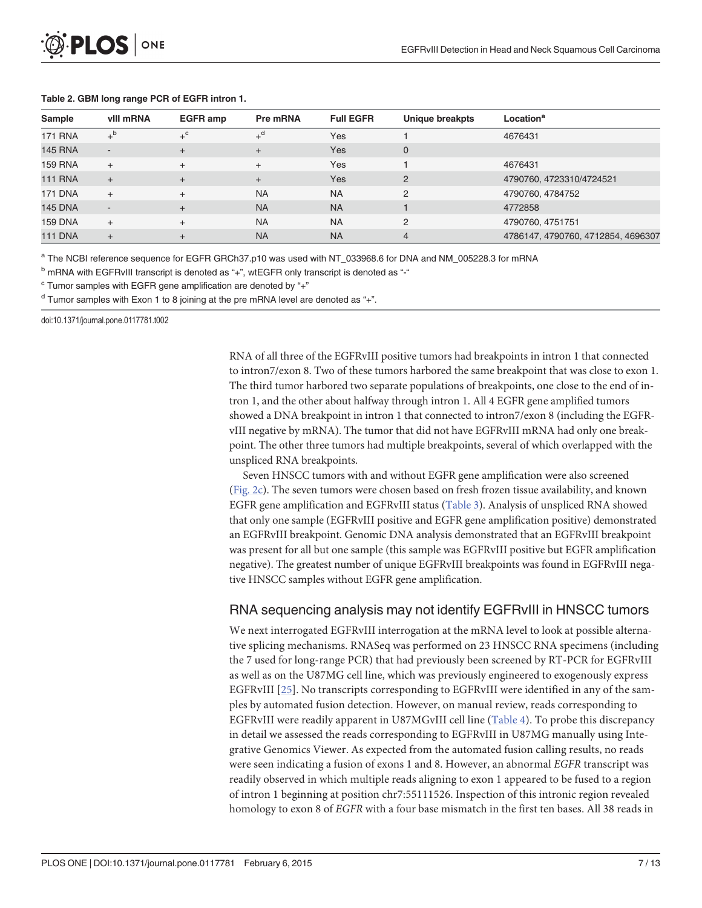#### <span id="page-6-0"></span>[Table 2.](#page-5-0) GBM long range PCR of EGFR intron 1.

| Sample         | vill mRNA   | <b>EGFR</b> amp | Pre mRNA         | <b>Full EGFR</b> | Unique breakpts | Location <sup>a</sup>              |
|----------------|-------------|-----------------|------------------|------------------|-----------------|------------------------------------|
| <b>171 RNA</b> | $+^{\rm b}$ | $+^{\circ}$     | $+$ <sup>d</sup> | Yes              |                 | 4676431                            |
| <b>145 RNA</b> | $\sim$      | $\ddot{}$       | $+$              | Yes              | $\mathbf{0}$    |                                    |
| <b>159 RNA</b> | $+$         | $+$             | $+$              | Yes              |                 | 4676431                            |
| <b>111 RNA</b> | $+$         | $+$             | $+$              | Yes              | 2               | 4790760, 4723310/4724521           |
| <b>171 DNA</b> | $+$         | $^{+}$          | <b>NA</b>        | <b>NA</b>        | 2               | 4790760, 4784752                   |
| <b>145 DNA</b> | $\sim$      | $+$             | <b>NA</b>        | <b>NA</b>        |                 | 4772858                            |
| <b>159 DNA</b> | $+$         |                 | <b>NA</b>        | <b>NA</b>        | 2               | 4790760, 4751751                   |
| <b>111 DNA</b> | $+$         |                 | <b>NA</b>        | <b>NA</b>        | 4               | 4786147, 4790760, 4712854, 4696307 |

<sup>a</sup> The NCBI reference sequence for EGFR GRCh37.p10 was used with NT\_033968.6 for DNA and NM\_005228.3 for mRNA

 $<sup>b</sup>$  mRNA with EGFRvIII transcript is denoted as "+", wtEGFR only transcript is denoted as "-"</sup>

 $\textdegree$  Tumor samples with EGFR gene amplification are denoted by "+"

 $d$  Tumor samples with Exon 1 to 8 joining at the pre mRNA level are denoted as "+".

doi:10.1371/journal.pone.0117781.t002

RNA of all three of the EGFRvIII positive tumors had breakpoints in intron 1 that connected to intron7/exon 8. Two of these tumors harbored the same breakpoint that was close to exon 1. The third tumor harbored two separate populations of breakpoints, one close to the end of intron 1, and the other about halfway through intron 1. All 4 EGFR gene amplified tumors showed a DNA breakpoint in intron 1 that connected to intron7/exon 8 (including the EGFRvIII negative by mRNA). The tumor that did not have EGFRvIII mRNA had only one breakpoint. The other three tumors had multiple breakpoints, several of which overlapped with the unspliced RNA breakpoints.

Seven HNSCC tumors with and without EGFR gene amplification were also screened [\(Fig. 2c](#page-5-0)). The seven tumors were chosen based on fresh frozen tissue availability, and known EGFR gene amplification and EGFRvIII status ([Table 3\)](#page-7-0). Analysis of unspliced RNA showed that only one sample (EGFRvIII positive and EGFR gene amplification positive) demonstrated an EGFRvIII breakpoint. Genomic DNA analysis demonstrated that an EGFRvIII breakpoint was present for all but one sample (this sample was EGFRvIII positive but EGFR amplification negative). The greatest number of unique EGFRvIII breakpoints was found in EGFRvIII negative HNSCC samples without EGFR gene amplification.

### RNA sequencing analysis may not identify EGFRvIII in HNSCC tumors

We next interrogated EGFRvIII interrogation at the mRNA level to look at possible alternative splicing mechanisms. RNASeq was performed on 23 HNSCC RNA specimens (including the 7 used for long-range PCR) that had previously been screened by RT-PCR for EGFRvIII as well as on the U87MG cell line, which was previously engineered to exogenously express EGFRvIII [\[25\]](#page-12-0). No transcripts corresponding to EGFRvIII were identified in any of the samples by automated fusion detection. However, on manual review, reads corresponding to EGFRvIII were readily apparent in U87MGvIII cell line ([Table 4\)](#page-8-0). To probe this discrepancy in detail we assessed the reads corresponding to EGFRvIII in U87MG manually using Integrative Genomics Viewer. As expected from the automated fusion calling results, no reads were seen indicating a fusion of exons 1 and 8. However, an abnormal EGFR transcript was readily observed in which multiple reads aligning to exon 1 appeared to be fused to a region of intron 1 beginning at position chr7:55111526. Inspection of this intronic region revealed homology to exon 8 of EGFR with a four base mismatch in the first ten bases. All 38 reads in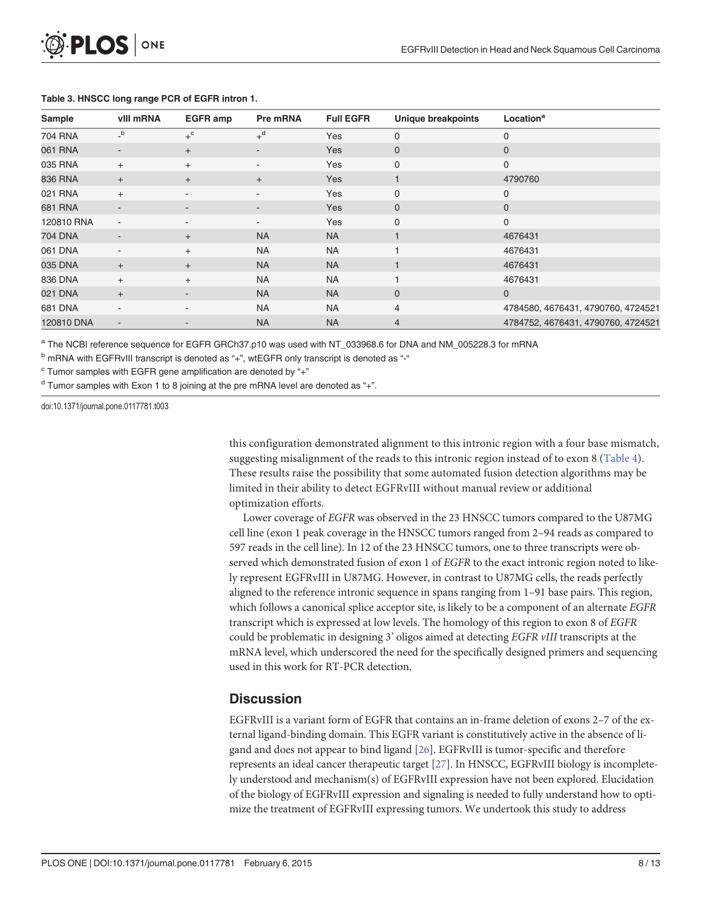<span id="page-7-0"></span>

| Sample         | vill mRNA                | <b>EGFR</b> amp          | Pre mRNA                 | <b>Full EGFR</b> | <b>Unique breakpoints</b> | Location <sup>a</sup>              |
|----------------|--------------------------|--------------------------|--------------------------|------------------|---------------------------|------------------------------------|
| 704 RNA        | $\mathsf{b}$             | $+^{\circ}$              | $+$ <sup>d</sup>         | Yes              | $\mathbf 0$               | 0                                  |
| 061 RNA        |                          | $+$                      | ٠                        | Yes              | $\mathbf 0$               | $\mathbf 0$                        |
| 035 RNA        | $+$                      | $+$                      | $\overline{\phantom{a}}$ | Yes              | $\mathbf 0$               | 0                                  |
| 836 RNA        | $+$                      | $+$                      | $+$                      | Yes              |                           | 4790760                            |
| 021 RNA        | $+$                      |                          | ٠                        | Yes              | 0                         | 0                                  |
| 681 RNA        | $\overline{\phantom{a}}$ | $\overline{\phantom{a}}$ | ٠                        | Yes              | 0                         | $\mathbf 0$                        |
| 120810 RNA     | $\overline{\phantom{a}}$ | -                        | $\overline{\phantom{a}}$ | Yes              | 0                         | $\mathbf 0$                        |
| <b>704 DNA</b> |                          | $+$                      | <b>NA</b>                | <b>NA</b>        |                           | 4676431                            |
| 061 DNA        | $\overline{\phantom{a}}$ | $+$                      | <b>NA</b>                | <b>NA</b>        |                           | 4676431                            |
| 035 DNA        | $+$                      | $+$                      | <b>NA</b>                | <b>NA</b>        |                           | 4676431                            |
| 836 DNA        | $+$                      | $+$                      | <b>NA</b>                | <b>NA</b>        |                           | 4676431                            |
| 021 DNA        | $+$                      |                          | <b>NA</b>                | <b>NA</b>        | $\Omega$                  | $\mathbf{0}$                       |
| 681 DNA        | $\overline{\phantom{a}}$ |                          | <b>NA</b>                | <b>NA</b>        | $\overline{4}$            | 4784580, 4676431, 4790760, 4724521 |
| 120810 DNA     | $\overline{\phantom{a}}$ |                          | <b>NA</b>                | <b>NA</b>        | $\overline{4}$            | 4784752, 4676431, 4790760, 4724521 |

#### [Table 3.](#page-6-0) HNSCC long range PCR of EGFR intron 1.

<sup>a</sup> The NCBI reference sequence for EGFR GRCh37.p10 was used with NT\_033968.6 for DNA and NM\_005228.3 for mRNA

 $<sup>b</sup>$  mRNA with EGFRvIII transcript is denoted as "+", wtEGFR only transcript is denoted as "-"</sup>

 $\degree$  Tumor samples with EGFR gene amplification are denoted by "+"

 $d$  Tumor samples with Exon 1 to 8 joining at the pre mRNA level are denoted as "+".

doi:10.1371/journal.pone.0117781.t003

this configuration demonstrated alignment to this intronic region with a four base mismatch, suggesting misalignment of the reads to this intronic region instead of to exon 8 ([Table 4](#page-8-0)). These results raise the possibility that some automated fusion detection algorithms may be limited in their ability to detect EGFRvIII without manual review or additional optimization efforts.

Lower coverage of EGFR was observed in the 23 HNSCC tumors compared to the U87MG cell line (exon 1 peak coverage in the HNSCC tumors ranged from 2–94 reads as compared to 597 reads in the cell line). In 12 of the 23 HNSCC tumors, one to three transcripts were observed which demonstrated fusion of exon 1 of EGFR to the exact intronic region noted to likely represent EGFRvIII in U87MG. However, in contrast to U87MG cells, the reads perfectly aligned to the reference intronic sequence in spans ranging from 1–91 base pairs. This region, which follows a canonical splice acceptor site, is likely to be a component of an alternate EGFR transcript which is expressed at low levels. The homology of this region to exon 8 of EGFR could be problematic in designing 3' oligos aimed at detecting EGFR vIII transcripts at the mRNA level, which underscored the need for the specifically designed primers and sequencing used in this work for RT-PCR detection.

### **Discussion**

EGFRvIII is a variant form of EGFR that contains an in-frame deletion of exons 2–7 of the external ligand-binding domain. This EGFR variant is constitutively active in the absence of ligand and does not appear to bind ligand [\[26\]](#page-12-0). EGFRvIII is tumor-specific and therefore represents an ideal cancer therapeutic target  $[27]$  $[27]$  $[27]$ . In HNSCC, EGFRvIII biology is incompletely understood and mechanism(s) of EGFRvIII expression have not been explored. Elucidation of the biology of EGFRvIII expression and signaling is needed to fully understand how to optimize the treatment of EGFRvIII expressing tumors. We undertook this study to address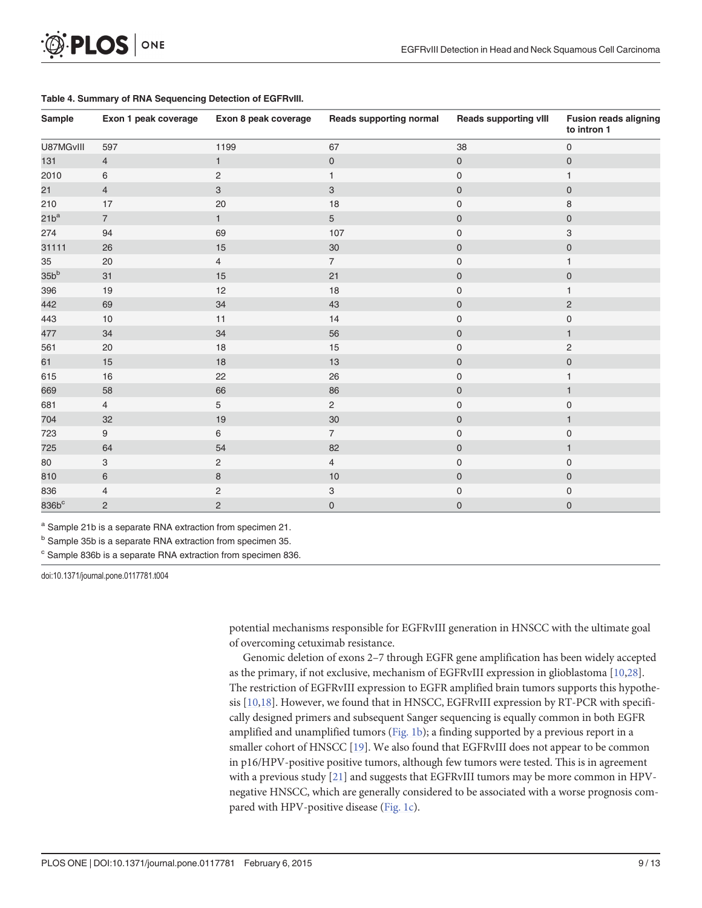<span id="page-8-0"></span>

| Sample    | Exon 1 peak coverage | Exon 8 peak coverage | <b>Reads supporting normal</b> | <b>Reads supporting vIII</b> | <b>Fusion reads aligning</b><br>to intron 1 |
|-----------|----------------------|----------------------|--------------------------------|------------------------------|---------------------------------------------|
| U87MGvIII | 597                  | 1199                 | 67                             | 38                           | $\mathsf{O}\xspace$                         |
| 131       | $\overline{4}$       | $\mathbf{1}$         | $\mathbf 0$                    | $\mathbf 0$                  | $\mathsf{O}\xspace$                         |
| 2010      | 6                    | $\overline{c}$       | $\mathbf{1}$                   | $\mathbf 0$                  | 1                                           |
| 21        | $\overline{4}$       | $\mathbf{3}$         | $\mathbf{3}$                   | $\mathsf{O}\xspace$          | $\mathsf{O}\xspace$                         |
| 210       | 17                   | 20                   | $18$                           | $\mathsf{O}\xspace$          | 8                                           |
| $21b^a$   | $\overline{7}$       | $\mathbf{1}$         | 5 <sup>5</sup>                 | $\pmb{0}$                    | $\mathsf{O}\xspace$                         |
| 274       | 94                   | 69                   | 107                            | $\mathsf{O}\xspace$          | 3                                           |
| 31111     | 26                   | 15                   | 30 <sup>°</sup>                | $\mathbf 0$                  | $\mathsf{O}\xspace$                         |
| 35        | 20                   | $\overline{4}$       | $\overline{7}$                 | $\mathsf{O}\xspace$          | $\mathbf{1}$                                |
| $35b^b$   | 31                   | 15                   | 21                             | $\mathsf{O}\xspace$          | $\mathsf{O}\xspace$                         |
| 396       | 19                   | 12                   | 18                             | $\mathsf{O}\xspace$          | $\mathbf{1}$                                |
| 442       | 69                   | 34                   | 43                             | $\mathsf{O}\xspace$          | $\sqrt{2}$                                  |
| 443       | 10                   | 11                   | 14                             | $\mathsf{O}\xspace$          | $\mathsf{O}\xspace$                         |
| 477       | 34                   | 34                   | 56                             | $\mathbf 0$                  | $\mathbf{1}$                                |
| 561       | 20                   | $18$                 | 15                             | $\mathsf{O}\xspace$          | $\sqrt{2}$                                  |
| 61        | 15                   | $18$                 | 13                             | $\mathsf{O}\xspace$          | $\mathsf{O}\xspace$                         |
| 615       | $16$                 | 22                   | 26                             | $\mathsf{O}\xspace$          | 1                                           |
| 669       | 58                   | 66                   | 86                             | $\mathsf{O}\xspace$          | $\mathbf{1}$                                |
| 681       | $\overline{4}$       | 5                    | $\overline{2}$                 | $\mathsf{O}\xspace$          | $\mathsf 0$                                 |
| 704       | $32\,$               | 19                   | 30                             | $\mathbf 0$                  | $\mathbf{1}$                                |
| 723       | $9\,$                | 6                    | $\overline{7}$                 | $\mathsf{O}\xspace$          | $\mathsf 0$                                 |
| 725       | 64                   | 54                   | 82                             | $\mathsf{O}\xspace$          | $\mathbf{1}$                                |
| 80        | 3                    | 2                    | $\overline{4}$                 | 0                            | $\mathbf 0$                                 |
| 810       | $\,6\,$              | $\bf 8$              | $10$                           | $\mathsf{O}\xspace$          | $\mathsf{O}\xspace$                         |
| 836       | $\overline{4}$       | 2                    | 3                              | 0                            | $\pmb{0}$                                   |
| $836b^c$  | $\overline{c}$       | $\overline{2}$       | $\mathbf 0$                    | $\mathbf 0$                  | $\pmb{0}$                                   |

#### [Table 4.](#page-6-0) Summary of RNA Sequencing Detection of EGFRvIII.

<sup>a</sup> Sample 21b is a separate RNA extraction from specimen 21.

b Sample 35b is a separate RNA extraction from specimen 35.

<sup>c</sup> Sample 836b is a separate RNA extraction from specimen 836.

doi:10.1371/journal.pone.0117781.t004

potential mechanisms responsible for EGFRvIII generation in HNSCC with the ultimate goal of overcoming cetuximab resistance.

Genomic deletion of exons 2–7 through EGFR gene amplification has been widely accepted as the primary, if not exclusive, mechanism of EGFRvIII expression in glioblastoma [\[10](#page-11-0)[,28\]](#page-12-0). The restriction of EGFRvIII expression to EGFR amplified brain tumors supports this hypothesis  $[10,18]$  $[10,18]$ . However, we found that in HNSCC, EGFRvIII expression by RT-PCR with specifically designed primers and subsequent Sanger sequencing is equally common in both EGFR amplified and unamplified tumors  $(Fig. 1b)$ ; a finding supported by a previous report in a smaller cohort of HNSCC [\[19\]](#page-11-0). We also found that EGFRvIII does not appear to be common in p16/HPV-positive positive tumors, although few tumors were tested. This is in agreement with a previous study [\[21\]](#page-11-0) and suggests that EGFRvIII tumors may be more common in HPVnegative HNSCC, which are generally considered to be associated with a worse prognosis com-pared with HPV-positive disease [\(Fig. 1c\)](#page-4-0).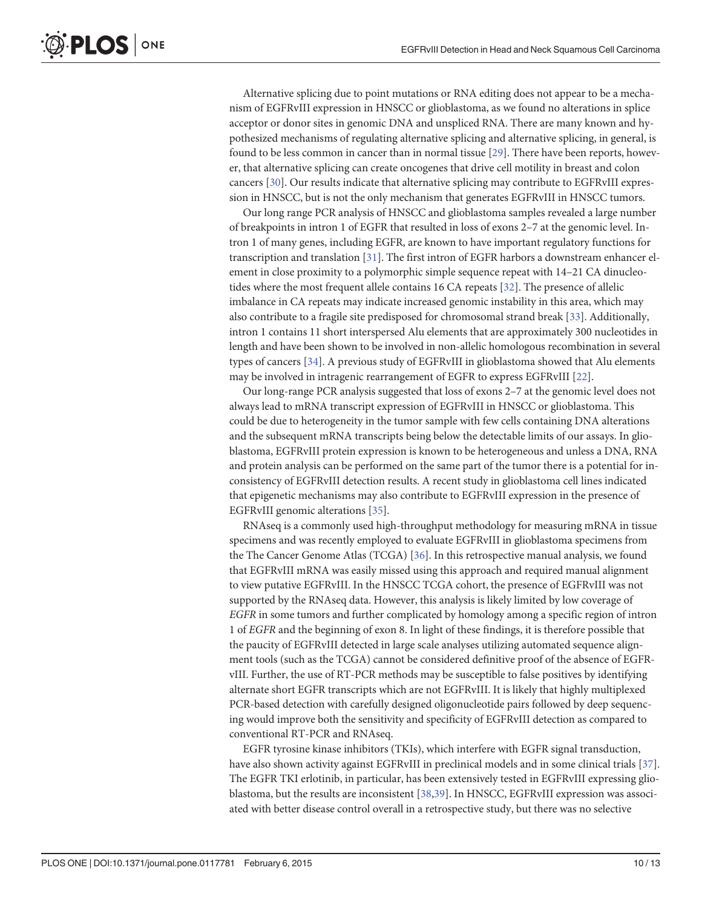<span id="page-9-0"></span>Alternative splicing due to point mutations or RNA editing does not appear to be a mechanism of EGFRvIII expression in HNSCC or glioblastoma, as we found no alterations in splice acceptor or donor sites in genomic DNA and unspliced RNA. There are many known and hypothesized mechanisms of regulating alternative splicing and alternative splicing, in general, is found to be less common in cancer than in normal tissue [\[29](#page-12-0)]. There have been reports, however, that alternative splicing can create oncogenes that drive cell motility in breast and colon cancers [\[30\]](#page-12-0). Our results indicate that alternative splicing may contribute to EGFRvIII expression in HNSCC, but is not the only mechanism that generates EGFRvIII in HNSCC tumors.

Our long range PCR analysis of HNSCC and glioblastoma samples revealed a large number of breakpoints in intron 1 of EGFR that resulted in loss of exons 2–7 at the genomic level. Intron 1 of many genes, including EGFR, are known to have important regulatory functions for transcription and translation [[31](#page-12-0)]. The first intron of EGFR harbors a downstream enhancer element in close proximity to a polymorphic simple sequence repeat with 14–21 CA dinucleotides where the most frequent allele contains 16 CA repeats [\[32](#page-12-0)]. The presence of allelic imbalance in CA repeats may indicate increased genomic instability in this area, which may also contribute to a fragile site predisposed for chromosomal strand break [[33](#page-12-0)]. Additionally, intron 1 contains 11 short interspersed Alu elements that are approximately 300 nucleotides in length and have been shown to be involved in non-allelic homologous recombination in several types of cancers [\[34\]](#page-12-0). A previous study of EGFRvIII in glioblastoma showed that Alu elements may be involved in intragenic rearrangement of EGFR to express EGFRvIII [[22](#page-11-0)].

Our long-range PCR analysis suggested that loss of exons 2–7 at the genomic level does not always lead to mRNA transcript expression of EGFRvIII in HNSCC or glioblastoma. This could be due to heterogeneity in the tumor sample with few cells containing DNA alterations and the subsequent mRNA transcripts being below the detectable limits of our assays. In glioblastoma, EGFRvIII protein expression is known to be heterogeneous and unless a DNA, RNA and protein analysis can be performed on the same part of the tumor there is a potential for inconsistency of EGFRvIII detection results. A recent study in glioblastoma cell lines indicated that epigenetic mechanisms may also contribute to EGFRvIII expression in the presence of EGFRvIII genomic alterations [[35](#page-12-0)].

RNAseq is a commonly used high-throughput methodology for measuring mRNA in tissue specimens and was recently employed to evaluate EGFRvIII in glioblastoma specimens from the The Cancer Genome Atlas (TCGA) [\[36\]](#page-12-0). In this retrospective manual analysis, we found that EGFRvIII mRNA was easily missed using this approach and required manual alignment to view putative EGFRvIII. In the HNSCC TCGA cohort, the presence of EGFRvIII was not supported by the RNAseq data. However, this analysis is likely limited by low coverage of EGFR in some tumors and further complicated by homology among a specific region of intron 1 of EGFR and the beginning of exon 8. In light of these findings, it is therefore possible that the paucity of EGFRvIII detected in large scale analyses utilizing automated sequence alignment tools (such as the TCGA) cannot be considered definitive proof of the absence of EGFRvIII. Further, the use of RT-PCR methods may be susceptible to false positives by identifying alternate short EGFR transcripts which are not EGFRvIII. It is likely that highly multiplexed PCR-based detection with carefully designed oligonucleotide pairs followed by deep sequencing would improve both the sensitivity and specificity of EGFRvIII detection as compared to conventional RT-PCR and RNAseq.

EGFR tyrosine kinase inhibitors (TKIs), which interfere with EGFR signal transduction, have also shown activity against EGFRvIII in preclinical models and in some clinical trials [\[37\]](#page-12-0). The EGFR TKI erlotinib, in particular, has been extensively tested in EGFRvIII expressing glio-blastoma, but the results are inconsistent [[38](#page-12-0),[39](#page-12-0)]. In HNSCC, EGFRvIII expression was associated with better disease control overall in a retrospective study, but there was no selective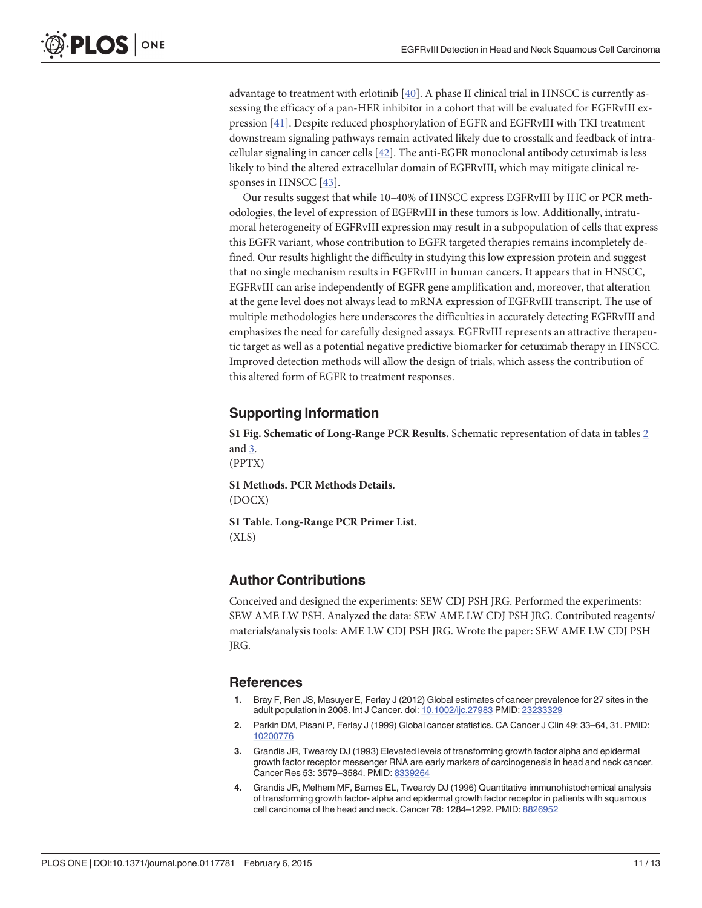advantage to treatment with erlotinib  $[40]$ . A phase II clinical trial in HNSCC is currently assessing the efficacy of a pan-HER inhibitor in a cohort that will be evaluated for EGFRvIII expression [[41\]](#page-12-0). Despite reduced phosphorylation of EGFR and EGFRvIII with TKI treatment downstream signaling pathways remain activated likely due to crosstalk and feedback of intracellular signaling in cancer cells [\[42\]](#page-12-0). The anti-EGFR monoclonal antibody cetuximab is less likely to bind the altered extracellular domain of EGFRvIII, which may mitigate clinical re-sponses in HNSCC [[43](#page-12-0)].

Our results suggest that while 10–40% of HNSCC express EGFRvIII by IHC or PCR methodologies, the level of expression of EGFRvIII in these tumors is low. Additionally, intratumoral heterogeneity of EGFRvIII expression may result in a subpopulation of cells that express this EGFR variant, whose contribution to EGFR targeted therapies remains incompletely defined. Our results highlight the difficulty in studying this low expression protein and suggest that no single mechanism results in EGFRvIII in human cancers. It appears that in HNSCC, EGFRvIII can arise independently of EGFR gene amplification and, moreover, that alteration at the gene level does not always lead to mRNA expression of EGFRvIII transcript. The use of multiple methodologies here underscores the difficulties in accurately detecting EGFRvIII and emphasizes the need for carefully designed assays. EGFRvIII represents an attractive therapeutic target as well as a potential negative predictive biomarker for cetuximab therapy in HNSCC. Improved detection methods will allow the design of trials, which assess the contribution of this altered form of EGFR to treatment responses.

#### Supporting Information

[S1 Fig.](http://www.plosone.org/article/fetchSingleRepresentation.action?uri=info:doi/10.1371/journal.pone.0117781.s001) Schematic of Long-Range PCR Results. Schematic representation of data in tables [2](#page-6-0) and [3](#page-7-0).

(PPTX)

<span id="page-10-0"></span>PLOS ONE

[S1 Methods](http://www.plosone.org/article/fetchSingleRepresentation.action?uri=info:doi/10.1371/journal.pone.0117781.s002). PCR Methods Details. (DOCX)

[S1 Table](http://www.plosone.org/article/fetchSingleRepresentation.action?uri=info:doi/10.1371/journal.pone.0117781.s003). Long-Range PCR Primer List. (XLS)

#### Author Contributions

Conceived and designed the experiments: SEW CDJ PSH JRG. Performed the experiments: SEW AME LW PSH. Analyzed the data: SEW AME LW CDJ PSH JRG. Contributed reagents/ materials/analysis tools: AME LW CDJ PSH JRG. Wrote the paper: SEW AME LW CDJ PSH JRG.

#### References

- [1.](#page-1-0) Bray F, Ren JS, Masuyer E, Ferlay J (2012) Global estimates of cancer prevalence for 27 sites in the adult population in 2008. Int J Cancer. doi: [10.1002/ijc.27983](http://dx.doi.org/10.1002/ijc.27983) PMID: [23233329](http://www.ncbi.nlm.nih.gov/pubmed/23233329)
- [2.](#page-1-0) Parkin DM, Pisani P, Ferlay J (1999) Global cancer statistics. CA Cancer J Clin 49: 33–64, 31. PMID: [10200776](http://www.ncbi.nlm.nih.gov/pubmed/10200776)
- [3.](#page-1-0) Grandis JR, Tweardy DJ (1993) Elevated levels of transforming growth factor alpha and epidermal growth factor receptor messenger RNA are early markers of carcinogenesis in head and neck cancer. Cancer Res 53: 3579–3584. PMID: [8339264](http://www.ncbi.nlm.nih.gov/pubmed/8339264)
- [4.](#page-1-0) Grandis JR, Melhem MF, Barnes EL, Tweardy DJ (1996) Quantitative immunohistochemical analysis of transforming growth factor- alpha and epidermal growth factor receptor in patients with squamous cell carcinoma of the head and neck. Cancer 78: 1284–1292. PMID: [8826952](http://www.ncbi.nlm.nih.gov/pubmed/8826952)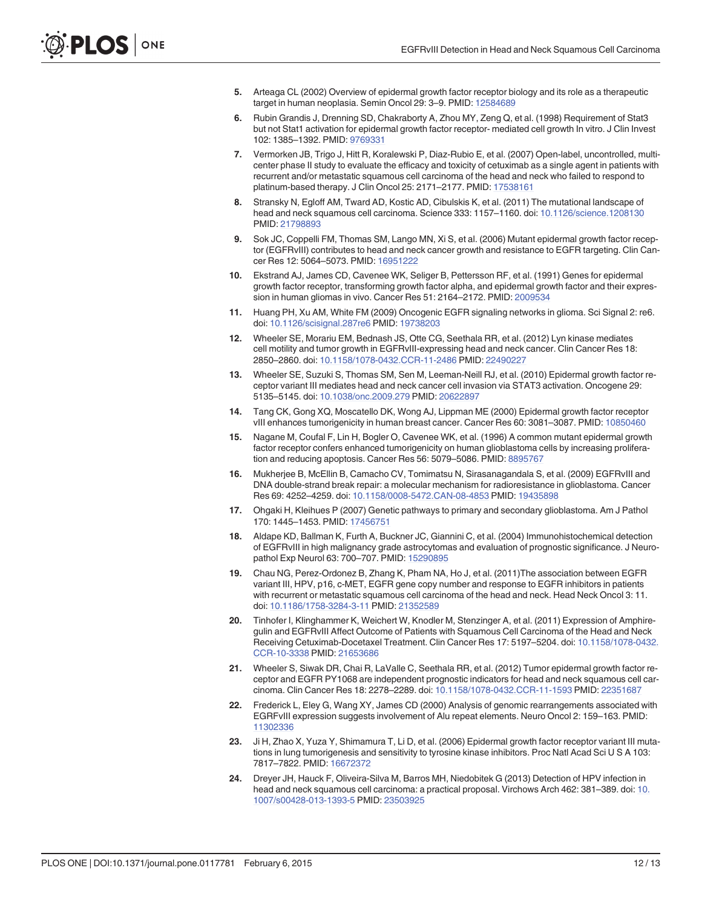- <span id="page-11-0"></span>[5.](#page-1-0) Arteaga CL (2002) Overview of epidermal growth factor receptor biology and its role as a therapeutic target in human neoplasia. Semin Oncol 29: 3–9. PMID: [12584689](http://www.ncbi.nlm.nih.gov/pubmed/12584689)
- [6.](#page-1-0) Rubin Grandis J, Drenning SD, Chakraborty A, Zhou MY, Zeng Q, et al. (1998) Requirement of Stat3 but not Stat1 activation for epidermal growth factor receptor- mediated cell growth In vitro. J Clin Invest 102: 1385–1392. PMID: [9769331](http://www.ncbi.nlm.nih.gov/pubmed/9769331)
- [7.](#page-1-0) Vermorken JB, Trigo J, Hitt R, Koralewski P, Diaz-Rubio E, et al. (2007) Open-label, uncontrolled, multicenter phase II study to evaluate the efficacy and toxicity of cetuximab as a single agent in patients with recurrent and/or metastatic squamous cell carcinoma of the head and neck who failed to respond to platinum-based therapy. J Clin Oncol 25: 2171–2177. PMID: [17538161](http://www.ncbi.nlm.nih.gov/pubmed/17538161)
- Stransky N, Egloff AM, Tward AD, Kostic AD, Cibulskis K, et al. (2011) The mutational landscape of head and neck squamous cell carcinoma. Science 333: 1157-1160. doi: [10.1126/science.1208130](http://dx.doi.org/10.1126/science.1208130) PMID: [21798893](http://www.ncbi.nlm.nih.gov/pubmed/21798893)
- [9.](#page-1-0) Sok JC, Coppelli FM, Thomas SM, Lango MN, Xi S, et al. (2006) Mutant epidermal growth factor receptor (EGFRvIII) contributes to head and neck cancer growth and resistance to EGFR targeting. Clin Cancer Res 12: 5064–5073. PMID: [16951222](http://www.ncbi.nlm.nih.gov/pubmed/16951222)
- [10.](#page-1-0) Ekstrand AJ, James CD, Cavenee WK, Seliger B, Pettersson RF, et al. (1991) Genes for epidermal growth factor receptor, transforming growth factor alpha, and epidermal growth factor and their expression in human gliomas in vivo. Cancer Res 51: 2164–2172. PMID: [2009534](http://www.ncbi.nlm.nih.gov/pubmed/2009534)
- [11.](#page-1-0) Huang PH, Xu AM, White FM (2009) Oncogenic EGFR signaling networks in glioma. Sci Signal 2: re6. doi: [10.1126/scisignal.287re6](http://dx.doi.org/10.1126/scisignal.287re6) PMID: [19738203](http://www.ncbi.nlm.nih.gov/pubmed/19738203)
- [12.](#page-1-0) Wheeler SE, Morariu EM, Bednash JS, Otte CG, Seethala RR, et al. (2012) Lyn kinase mediates cell motility and tumor growth in EGFRvIII-expressing head and neck cancer. Clin Cancer Res 18: 2850–2860. doi: [10.1158/1078-0432.CCR-11-2486](http://dx.doi.org/10.1158/1078-0432.CCR-11-2486) PMID: [22490227](http://www.ncbi.nlm.nih.gov/pubmed/22490227)
- 13. Wheeler SE, Suzuki S, Thomas SM, Sen M, Leeman-Neill RJ, et al. (2010) Epidermal growth factor receptor variant III mediates head and neck cancer cell invasion via STAT3 activation. Oncogene 29: 5135–5145. doi: [10.1038/onc.2009.279](http://dx.doi.org/10.1038/onc.2009.279) PMID: [20622897](http://www.ncbi.nlm.nih.gov/pubmed/20622897)
- [14.](#page-1-0) Tang CK, Gong XQ, Moscatello DK, Wong AJ, Lippman ME (2000) Epidermal growth factor receptor vIII enhances tumorigenicity in human breast cancer. Cancer Res 60: 3081–3087. PMID: [10850460](http://www.ncbi.nlm.nih.gov/pubmed/10850460)
- [15.](#page-1-0) Nagane M, Coufal F, Lin H, Bogler O, Cavenee WK, et al. (1996) A common mutant epidermal growth factor receptor confers enhanced tumorigenicity on human glioblastoma cells by increasing prolifera-tion and reducing apoptosis. Cancer Res 56: 5079-5086. PMID: [8895767](http://www.ncbi.nlm.nih.gov/pubmed/8895767)
- [16.](#page-1-0) Mukherjee B, McEllin B, Camacho CV, Tomimatsu N, Sirasanagandala S, et al. (2009) EGFRvIII and DNA double-strand break repair: a molecular mechanism for radioresistance in glioblastoma. Cancer Res 69: 4252–4259. doi: [10.1158/0008-5472.CAN-08-4853](http://dx.doi.org/10.1158/0008-5472.CAN-08-4853) PMID: [19435898](http://www.ncbi.nlm.nih.gov/pubmed/19435898)
- [17.](#page-1-0) Ohgaki H, Kleihues P (2007) Genetic pathways to primary and secondary glioblastoma. Am J Pathol 170: 1445–1453. PMID: [17456751](http://www.ncbi.nlm.nih.gov/pubmed/17456751)
- [18.](#page-1-0) Aldape KD, Ballman K, Furth A, Buckner JC, Giannini C, et al. (2004) Immunohistochemical detection of EGFRvIII in high malignancy grade astrocytomas and evaluation of prognostic significance. J Neuropathol Exp Neurol 63: 700–707. PMID: [15290895](http://www.ncbi.nlm.nih.gov/pubmed/15290895)
- [19.](#page-1-0) Chau NG, Perez-Ordonez B, Zhang K, Pham NA, Ho J, et al. (2011)The association between EGFR variant III, HPV, p16, c-MET, EGFR gene copy number and response to EGFR inhibitors in patients with recurrent or metastatic squamous cell carcinoma of the head and neck. Head Neck Oncol 3: 11. doi: [10.1186/1758-3284-3-11](http://dx.doi.org/10.1186/1758-3284-3-11) PMID: [21352589](http://www.ncbi.nlm.nih.gov/pubmed/21352589)
- [20.](#page-1-0) Tinhofer I, Klinghammer K, Weichert W, Knodler M, Stenzinger A, et al. (2011) Expression of Amphiregulin and EGFRvIII Affect Outcome of Patients with Squamous Cell Carcinoma of the Head and Neck Receiving Cetuximab-Docetaxel Treatment. Clin Cancer Res 17: 5197–5204. doi: [10.1158/1078-0432.](http://dx.doi.org/10.1158/1078-0432.CCR-10-3338) [CCR-10-3338](http://dx.doi.org/10.1158/1078-0432.CCR-10-3338) PMID: [21653686](http://www.ncbi.nlm.nih.gov/pubmed/21653686)
- [21.](#page-2-0) Wheeler S, Siwak DR, Chai R, LaValle C, Seethala RR, et al. (2012) Tumor epidermal growth factor receptor and EGFR PY1068 are independent prognostic indicators for head and neck squamous cell carcinoma. Clin Cancer Res 18: 2278–2289. doi: [10.1158/1078-0432.CCR-11-1593](http://dx.doi.org/10.1158/1078-0432.CCR-11-1593) PMID: [22351687](http://www.ncbi.nlm.nih.gov/pubmed/22351687)
- [22.](#page-2-0) Frederick L, Eley G, Wang XY, James CD (2000) Analysis of genomic rearrangements associated with EGRFvIII expression suggests involvement of Alu repeat elements. Neuro Oncol 2: 159–163. PMID: [11302336](http://www.ncbi.nlm.nih.gov/pubmed/11302336)
- [23.](#page-2-0) Ji H, Zhao X, Yuza Y, Shimamura T, Li D, et al. (2006) Epidermal growth factor receptor variant III mutations in lung tumorigenesis and sensitivity to tyrosine kinase inhibitors. Proc Natl Acad Sci U S A 103: 7817–7822. PMID: [16672372](http://www.ncbi.nlm.nih.gov/pubmed/16672372)
- [24.](#page-3-0) Dreyer JH, Hauck F, Oliveira-Silva M, Barros MH, Niedobitek G (2013) Detection of HPV infection in head and neck squamous cell carcinoma: a practical proposal. Virchows Arch 462: 381–389. doi: [10.](http://dx.doi.org/10.1007/s00428-013-1393-5) [1007/s00428-013-1393-5](http://dx.doi.org/10.1007/s00428-013-1393-5) PMID: [23503925](http://www.ncbi.nlm.nih.gov/pubmed/23503925)